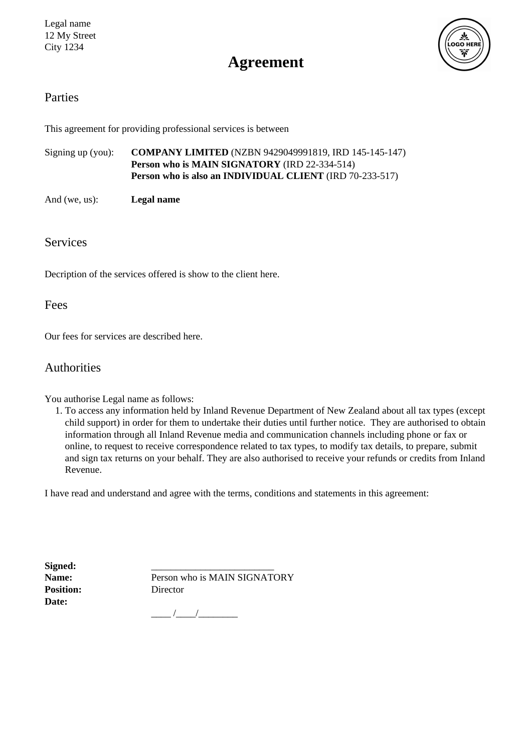

# **Agreement**

### Parties

This agreement for providing professional services is between

Signing up (you): **COMPANY LIMITED** (NZBN 9429049991819, IRD 145-145-147) **Person who is MAIN SIGNATORY** (IRD 22-334-514) **Person who is also an INDIVIDUAL CLIENT** (IRD 70-233-517)

And (we, us): **Legal name**

### Services

Decription of the services offered is show to the client here.

### Fees

Our fees for services are described here.

### Authorities

You authorise Legal name as follows:

1. To access any information held by Inland Revenue Department of New Zealand about all tax types (except child support) in order for them to undertake their duties until further notice. They are authorised to obtain information through all Inland Revenue media and communication channels including phone or fax or online, to request to receive correspondence related to tax types, to modify tax details, to prepare, submit and sign tax returns on your behalf. They are also authorised to receive your refunds or credits from Inland Revenue.

I have read and understand and agree with the terms, conditions and statements in this agreement:

Signed: **Position:** Director **Date:**

Name: Person who is MAIN SIGNATORY

\_\_\_\_ /\_\_\_\_/\_\_\_\_\_\_\_\_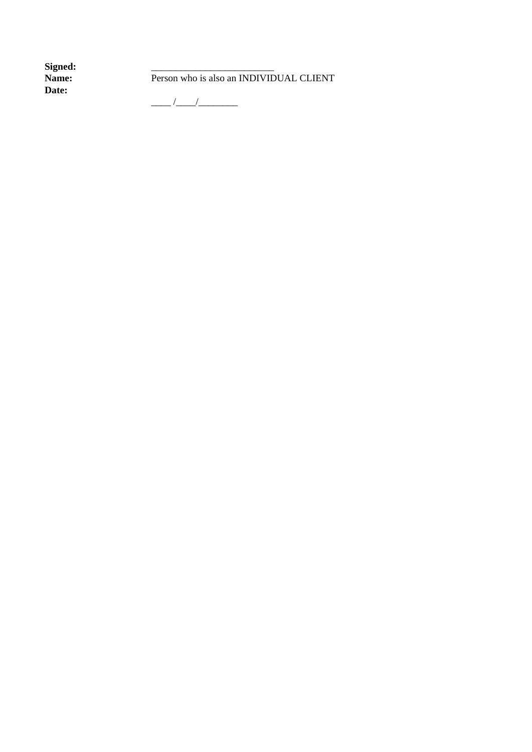Signed:<br>Name: **Date:**

Person who is also an INDIVIDUAL CLIENT

\_\_\_\_ /\_\_\_\_/\_\_\_\_\_\_\_\_